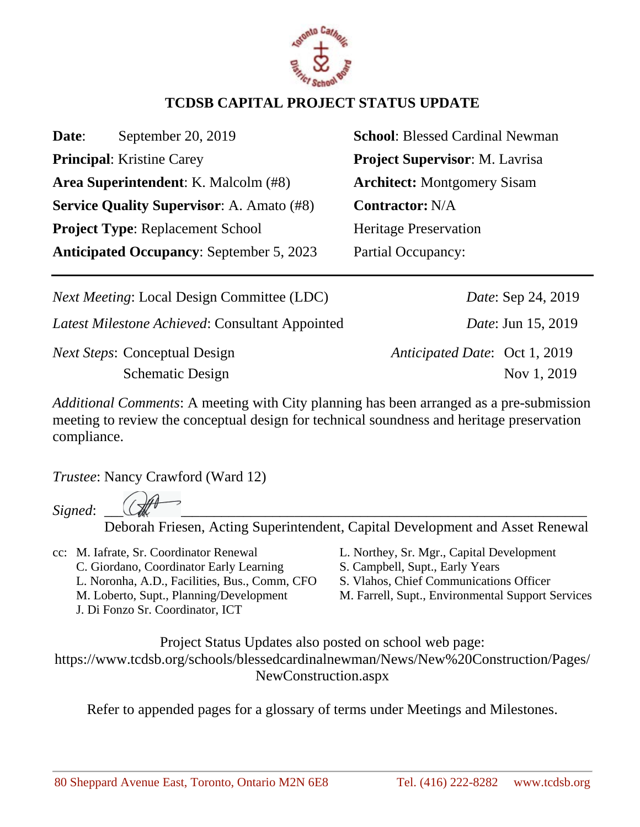

## **TCDSB CAPITAL PROJECT STATUS UPDATE**

| Date:                                             | September 20, 2019 | <b>School: Blessed Cardinal Newman</b> |
|---------------------------------------------------|--------------------|----------------------------------------|
| <b>Principal:</b> Kristine Carey                  |                    | <b>Project Supervisor: M. Lavrisa</b>  |
| Area Superintendent: K. Malcolm (#8)              |                    | <b>Architect:</b> Montgomery Sisam     |
| <b>Service Quality Supervisor:</b> A. Amato (#8)  |                    | <b>Contractor: N/A</b>                 |
| <b>Project Type: Replacement School</b>           |                    | <b>Heritage Preservation</b>           |
| <b>Anticipated Occupancy: September 5, 2023</b>   |                    | Partial Occupancy:                     |
|                                                   |                    |                                        |
| <i>Next Meeting:</i> Local Design Committee (LDC) |                    | <i>Date:</i> Sep 24, 2019              |

| <i>Next Meeting: Local Design Committee (LDC)</i> | <i>Date:</i> Sep 24, 2019     |
|---------------------------------------------------|-------------------------------|
| Latest Milestone Achieved: Consultant Appointed   | <i>Date:</i> Jun 15, 2019     |
| <i>Next Steps:</i> Conceptual Design              | Anticipated Date: Oct 1, 2019 |
| <b>Schematic Design</b>                           | Nov 1, 2019                   |

*Additional Comments*: A meeting with City planning has been arranged as a pre-submission meeting to review the conceptual design for technical soundness and heritage preservation compliance.

*Trustee*: Nancy Crawford (Ward 12)

*Signed*: \_\_\_\_\_\_\_\_\_\_\_\_\_\_\_\_\_\_\_\_\_\_\_\_\_\_\_\_\_\_\_\_\_\_\_\_\_\_\_\_\_\_\_\_\_\_\_\_\_\_\_\_\_\_\_\_\_\_\_\_\_\_\_\_\_\_

Deborah Friesen, Acting Superintendent, Capital Development and Asset Renewal

- cc: M. Iafrate, Sr. Coordinator Renewal L. Northey, Sr. Mgr., Capital Development C. Giordano, Coordinator Early Learning S. Campbell, Supt., Early Years L. Noronha, A.D., Facilities, Bus., Comm, CFO S. Vlahos, Chief Communications Officer J. Di Fonzo Sr. Coordinator, ICT
- -
	-
	- M. Loberto, Supt., Planning/Development M. Farrell, Supt., Environmental Support Services

Project Status Updates also posted on school web page: [https://www.tcdsb.org/schools/blessedcardinalnewman/News/New%20Construction/Pages/](https://www.tcdsb.org/schools/blessedcardinalnewman/News/New%20Construction/Pages/NewConstruction.aspx) [NewConstruction.aspx](https://www.tcdsb.org/schools/blessedcardinalnewman/News/New%20Construction/Pages/NewConstruction.aspx)

Refer to appended pages for a glossary of terms under Meetings and Milestones.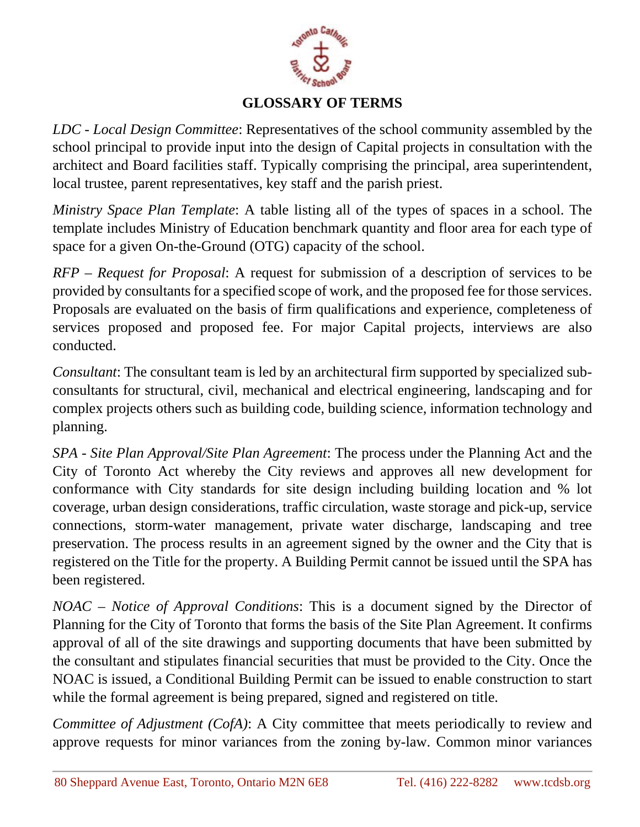

## **GLOSSARY OF TERMS**

*LDC - Local Design Committee*: Representatives of the school community assembled by the school principal to provide input into the design of Capital projects in consultation with the architect and Board facilities staff. Typically comprising the principal, area superintendent, local trustee, parent representatives, key staff and the parish priest.

*Ministry Space Plan Template*: A table listing all of the types of spaces in a school. The template includes Ministry of Education benchmark quantity and floor area for each type of space for a given On-the-Ground (OTG) capacity of the school.

*RFP – Request for Proposal*: A request for submission of a description of services to be provided by consultants for a specified scope of work, and the proposed fee for those services. Proposals are evaluated on the basis of firm qualifications and experience, completeness of services proposed and proposed fee. For major Capital projects, interviews are also conducted.

*Consultant*: The consultant team is led by an architectural firm supported by specialized subconsultants for structural, civil, mechanical and electrical engineering, landscaping and for complex projects others such as building code, building science, information technology and planning.

*SPA - Site Plan Approval/Site Plan Agreement*: The process under the Planning Act and the City of Toronto Act whereby the City reviews and approves all new development for conformance with City standards for site design including building location and % lot coverage, urban design considerations, traffic circulation, waste storage and pick-up, service connections, storm-water management, private water discharge, landscaping and tree preservation. The process results in an agreement signed by the owner and the City that is registered on the Title for the property. A Building Permit cannot be issued until the SPA has been registered.

*NOAC – Notice of Approval Conditions*: This is a document signed by the Director of Planning for the City of Toronto that forms the basis of the Site Plan Agreement. It confirms approval of all of the site drawings and supporting documents that have been submitted by the consultant and stipulates financial securities that must be provided to the City. Once the NOAC is issued, a Conditional Building Permit can be issued to enable construction to start while the formal agreement is being prepared, signed and registered on title.

*Committee of Adjustment (CofA)*: A City committee that meets periodically to review and approve requests for minor variances from the zoning by-law. Common minor variances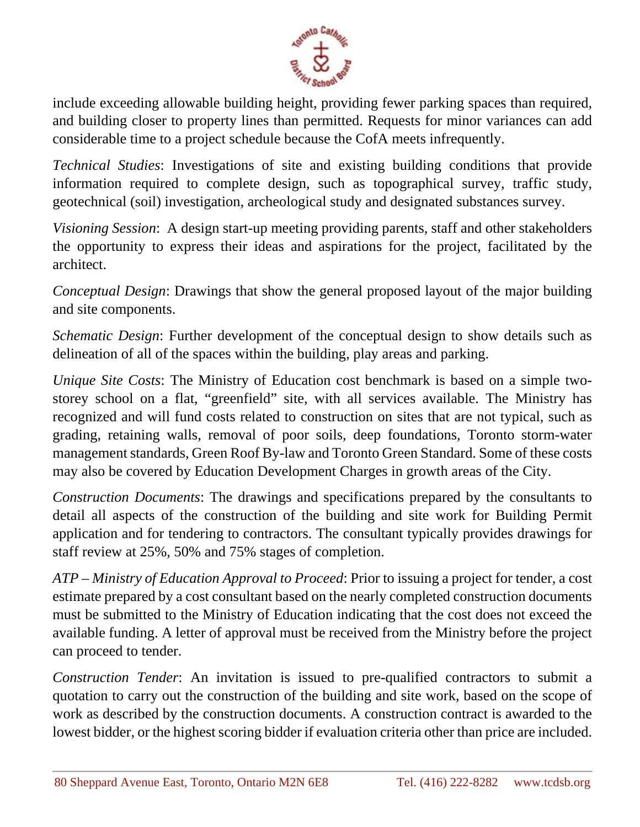

include exceeding allowable building height, providing fewer parking spaces than required, and building closer to property lines than permitted. Requests for minor variances can add considerable time to a project schedule because the CofA meets infrequently.

*Technical Studies*: Investigations of site and existing building conditions that provide information required to complete design, such as topographical survey, traffic study, geotechnical (soil) investigation, archeological study and designated substances survey.

*Visioning Session*: A design start-up meeting providing parents, staff and other stakeholders the opportunity to express their ideas and aspirations for the project, facilitated by the architect.

*Conceptual Design*: Drawings that show the general proposed layout of the major building and site components.

*Schematic Design*: Further development of the conceptual design to show details such as delineation of all of the spaces within the building, play areas and parking.

*Unique Site Costs*: The Ministry of Education cost benchmark is based on a simple twostorey school on a flat, "greenfield" site, with all services available. The Ministry has recognized and will fund costs related to construction on sites that are not typical, such as grading, retaining walls, removal of poor soils, deep foundations, Toronto storm-water management standards, Green Roof By-law and Toronto Green Standard. Some of these costs may also be covered by Education Development Charges in growth areas of the City.

*Construction Documents*: The drawings and specifications prepared by the consultants to detail all aspects of the construction of the building and site work for Building Permit application and for tendering to contractors. The consultant typically provides drawings for staff review at 25%, 50% and 75% stages of completion.

*ATP – Ministry of Education Approval to Proceed*: Prior to issuing a project for tender, a cost estimate prepared by a cost consultant based on the nearly completed construction documents must be submitted to the Ministry of Education indicating that the cost does not exceed the available funding. A letter of approval must be received from the Ministry before the project can proceed to tender.

*Construction Tender*: An invitation is issued to pre-qualified contractors to submit a quotation to carry out the construction of the building and site work, based on the scope of work as described by the construction documents. A construction contract is awarded to the lowest bidder, or the highest scoring bidder if evaluation criteria other than price are included.